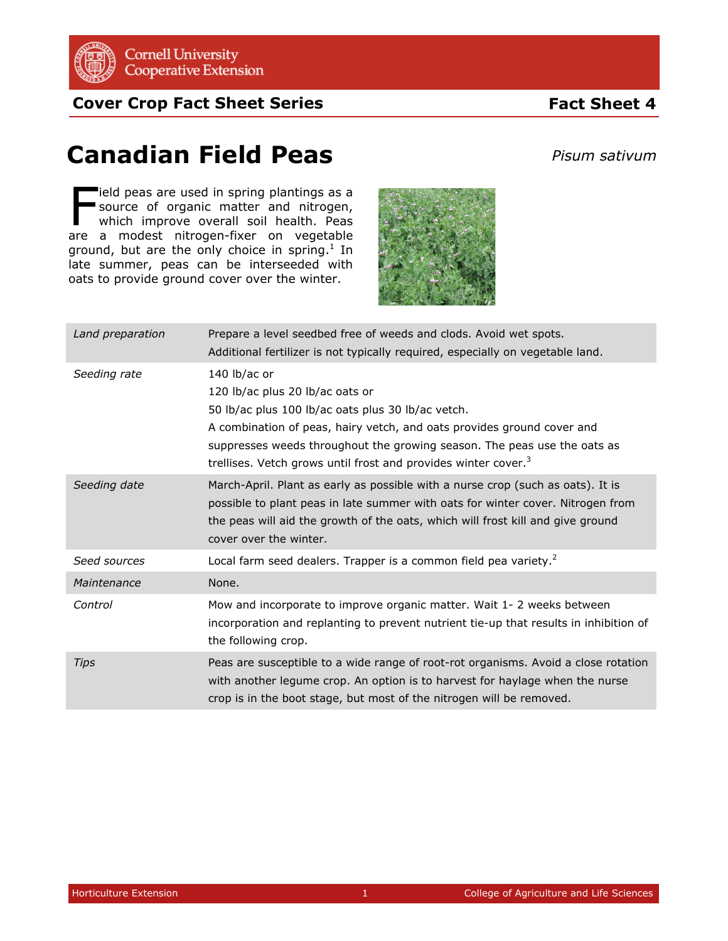

**Cover Crop Fact Sheet Series**

## **Fact Sheet 4**

## **Canadian Field Peas**

*Pisum sativum*

ield peas are used in spring plantings as a<br>
source of organic matter and nitrogen,<br>
which improve overall soil health. Peas source of organic matter and nitrogen, which improve overall soil health. Peas are a modest nitrogen-fixer on vegetable ground, but are the only choice in spring. $1$  In late summer, peas can be interseeded with oats to provide ground cover over the winter.



| Land preparation | Prepare a level seedbed free of weeds and clods. Avoid wet spots.<br>Additional fertilizer is not typically required, especially on vegetable land.                                                                                                                                                                                      |
|------------------|------------------------------------------------------------------------------------------------------------------------------------------------------------------------------------------------------------------------------------------------------------------------------------------------------------------------------------------|
| Seeding rate     | 140 lb/ac or<br>120 lb/ac plus 20 lb/ac oats or<br>50 lb/ac plus 100 lb/ac oats plus 30 lb/ac vetch.<br>A combination of peas, hairy vetch, and oats provides ground cover and<br>suppresses weeds throughout the growing season. The peas use the oats as<br>trellises. Vetch grows until frost and provides winter cover. <sup>3</sup> |
| Seeding date     | March-April. Plant as early as possible with a nurse crop (such as oats). It is<br>possible to plant peas in late summer with oats for winter cover. Nitrogen from<br>the peas will aid the growth of the oats, which will frost kill and give ground<br>cover over the winter.                                                          |
| Seed sources     | Local farm seed dealers. Trapper is a common field pea variety. <sup>2</sup>                                                                                                                                                                                                                                                             |
| Maintenance      | None.                                                                                                                                                                                                                                                                                                                                    |
| Control          | Mow and incorporate to improve organic matter. Wait 1- 2 weeks between<br>incorporation and replanting to prevent nutrient tie-up that results in inhibition of<br>the following crop.                                                                                                                                                   |
| Tips             | Peas are susceptible to a wide range of root-rot organisms. Avoid a close rotation<br>with another legume crop. An option is to harvest for haylage when the nurse<br>crop is in the boot stage, but most of the nitrogen will be removed.                                                                                               |